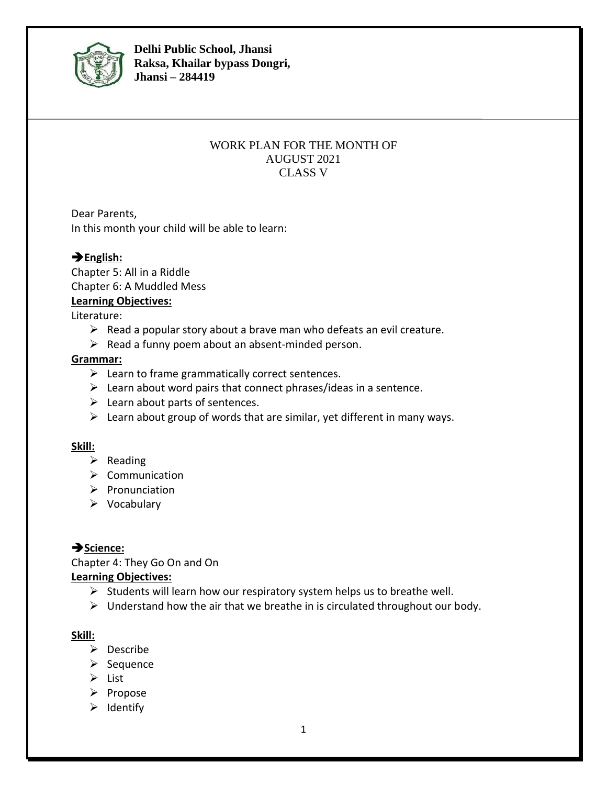

**Delhi Public School, Jhansi Raksa, Khailar bypass Dongri, Jhansi – 284419**

#### WORK PLAN FOR THE MONTH OF AUGUST 2021 CLASS V

Dear Parents, In this month your child will be able to learn:

# ➔**English:**

Chapter 5: All in a Riddle Chapter 6: A Muddled Mess

## **Learning Objectives:**

Literature:

- $\triangleright$  Read a popular story about a brave man who defeats an evil creature.
- $\triangleright$  Read a funny poem about an absent-minded person.

## **Grammar:**

- $\triangleright$  Learn to frame grammatically correct sentences.
- $\triangleright$  Learn about word pairs that connect phrases/ideas in a sentence.
- $\triangleright$  Learn about parts of sentences.
- $\triangleright$  Learn about group of words that are similar, yet different in many ways.

## **Skill:**

- ➢ Reading
- ➢ Communication
- ➢ Pronunciation
- ➢ Vocabulary

# ➔**Science:**

Chapter 4: They Go On and On **Learning Objectives:**

# $\triangleright$  Students will learn how our respiratory system helps us to breathe well.

 $\triangleright$  Understand how the air that we breathe in is circulated throughout our body.

# **Skill:**

- ➢ Describe
- ➢ Sequence
- ➢ List
- ➢ Propose
- ➢ Identify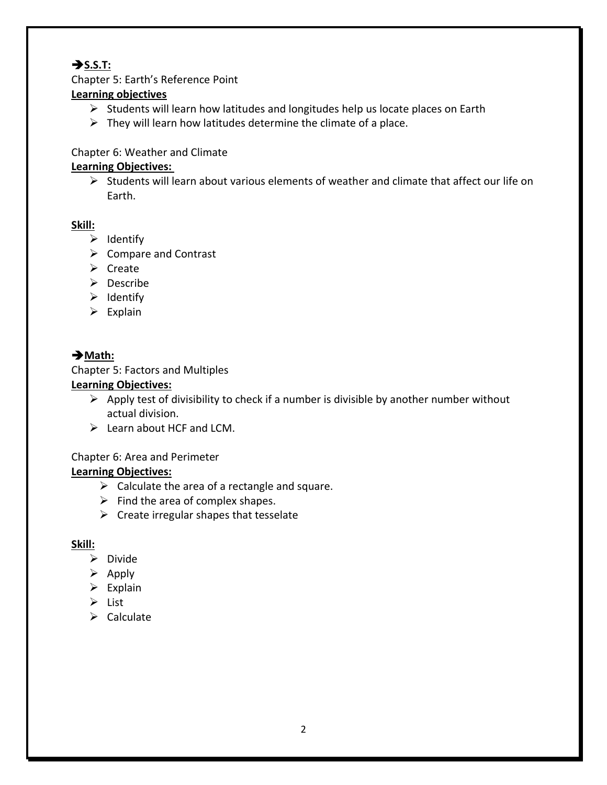# ➔**S.S.T:**

Chapter 5: Earth's Reference Point

## **Learning objectives**

- ➢ Students will learn how latitudes and longitudes help us locate places on Earth
- $\triangleright$  They will learn how latitudes determine the climate of a place.

## Chapter 6: Weather and Climate

# **Learning Objectives:**

 $\triangleright$  Students will learn about various elements of weather and climate that affect our life on Earth.

## **Skill:**

- ➢ Identify
- ➢ Compare and Contrast
- ➢ Create
- ➢ Describe
- ➢ Identify
- $\triangleright$  Explain

# ➔**Math:**

## Chapter 5: Factors and Multiples

## **Learning Objectives:**

- $\triangleright$  Apply test of divisibility to check if a number is divisible by another number without actual division.
- $\triangleright$  Learn about HCF and LCM.

# Chapter 6: Area and Perimeter

# **Learning Objectives:**

- $\triangleright$  Calculate the area of a rectangle and square.
- $\triangleright$  Find the area of complex shapes.
- $\triangleright$  Create irregular shapes that tesselate

## **Skill:**

- ➢ Divide
- $\triangleright$  Apply
- $\triangleright$  Explain
- ➢ List
- ➢ Calculate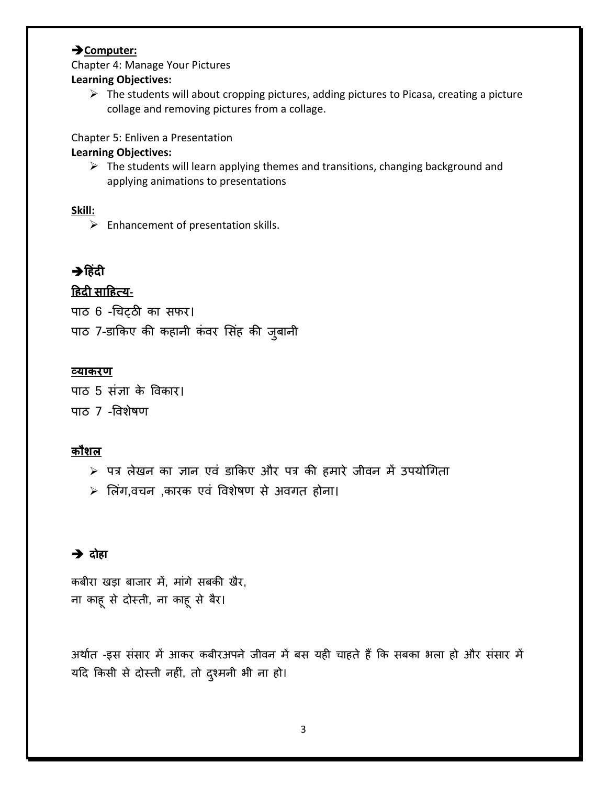#### ➔**Computer:**

Chapter 4: Manage Your Pictures **Learning Objectives:**

> $\triangleright$  The students will about cropping pictures, adding pictures to Picasa, creating a picture collage and removing pictures from a collage.

Chapter 5: Enliven a Presentation

#### **Learning Objectives:**

 $\triangleright$  The students will learn applying themes and transitions, changing background and applying animations to presentations

## **Skill:**

 $\triangleright$  Enhancement of presentation skills.

# ➔**ह िंदी**

# **ह दी साह त्य-**

पाठ 6 -चिट्ठी का सफर। पाठ 7-डाकिए की कहानी कंवर सिंह की जुबानी

## **व्याकरण**

पाठ 5 संज्ञा के ववकार। पाठ 7 -ववशेषण

# **कौशल**

- $>$  पत्र लेखन का ज्ञान एवं डाकिए और पत्र की हमारे जीवन में उपयोगिता
- $\triangleright$  लिंग,वचन ,कारक एवं विशेषण से अवगत होना।

# ➔ **दोहा**

कबीरा खड़ा बाजार में, मांगे सबकी खैर, ना काहूसे दोस्ती, ना काहूसे बैर।

अर्थात -इस संसार में आकर कबीरअपने जीवन में बस यही चाहते हैं कि सबका भला हो और संसार में यदि किसी से दोस्ती नहीं, तो दुश्मनी भी ना हो।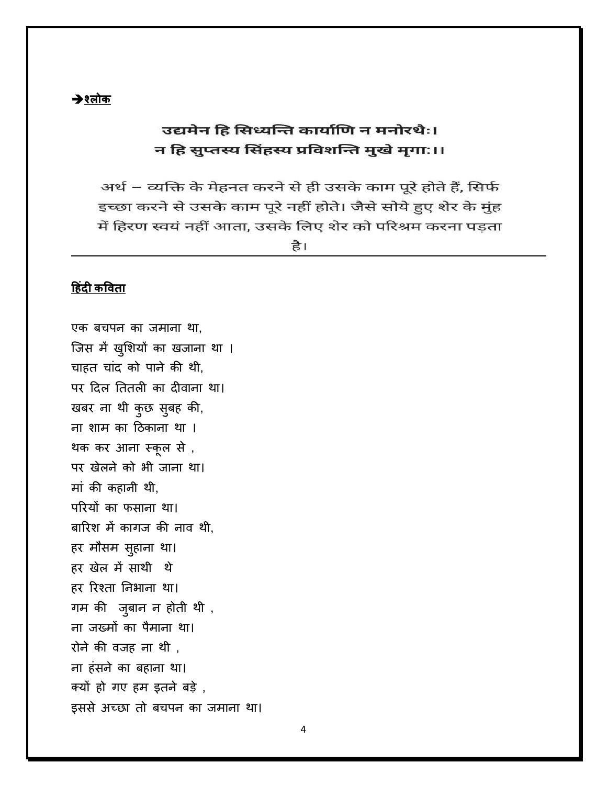# उद्यमेन हि सिध्यन्ति कार्याणि न मनोरथैः। न हि सुप्तस्य सिंहस्य प्रविशन्ति मुखे मुगा:।।

अर्थ – व्यक्ति के मेहनत करने से ही उसके काम पूरे होते हैं, सिर्फ इच्छा करने से उसके काम पूरे नहीं होते। जैसे सोये हुए शेर के मुंह में हिरण स्वयं नहीं आता, उसके लिए शेर को परिश्रम करना पडता

है।

# **ह िंदी कविता**

एक बचपन का जमाना था. जिस में खुशियों का खजाना था । चाहत चांद को पाने की थी, पर दिल तितली का दीवाना था। खबर ना र्ी कुछ सुबह की, ना शाम का दठकाना र्ा । र्क कर आना स्कूल से , पर खेलने को भी जाना था। मां की कहानी र्ी, परियों का फसाना था। बाररश में कािज की नाव र्ी, हर मौसम सुहाना था। हर खेल में साथी थे हर रिश्ता निभाना था। गम की जुबान न होती थी , ना जख्मों का पैमाना था। रोने की वजह ना थी, ना हंसने का बहाना र्ा। क्यों हो िए हम इतने बडे , इससे अच्छा तो बचपन का जमाना था।